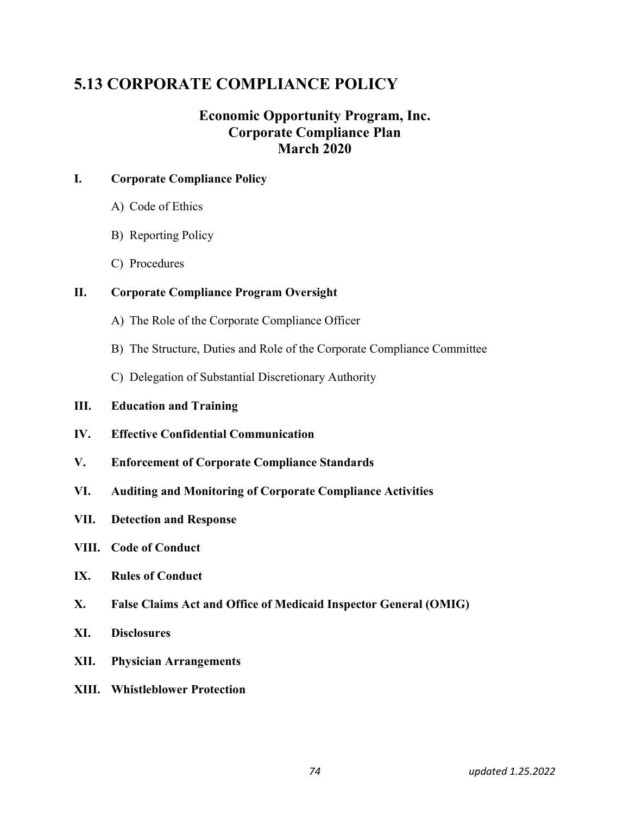# 5.13 CORPORATE COMPLIANCE POLICY

## Economic Opportunity Program, Inc. Corporate Compliance Plan March 2020

## I. Corporate Compliance Policy

- A) Code of Ethics
- B) Reporting Policy
- C) Procedures

## II. Corporate Compliance Program Oversight

- A) The Role of the Corporate Compliance Officer
- B) The Structure, Duties and Role of the Corporate Compliance Committee
- C) Delegation of Substantial Discretionary Authority
- III. Education and Training
- IV. Effective Confidential Communication
- V. Enforcement of Corporate Compliance Standards
- VI. Auditing and Monitoring of Corporate Compliance Activities
- VII. Detection and Response
- VIII. Code of Conduct
- IX. Rules of Conduct
- X. False Claims Act and Office of Medicaid Inspector General (OMIG)
- XI. Disclosures
- XII. Physician Arrangements
- XIII. Whistleblower Protection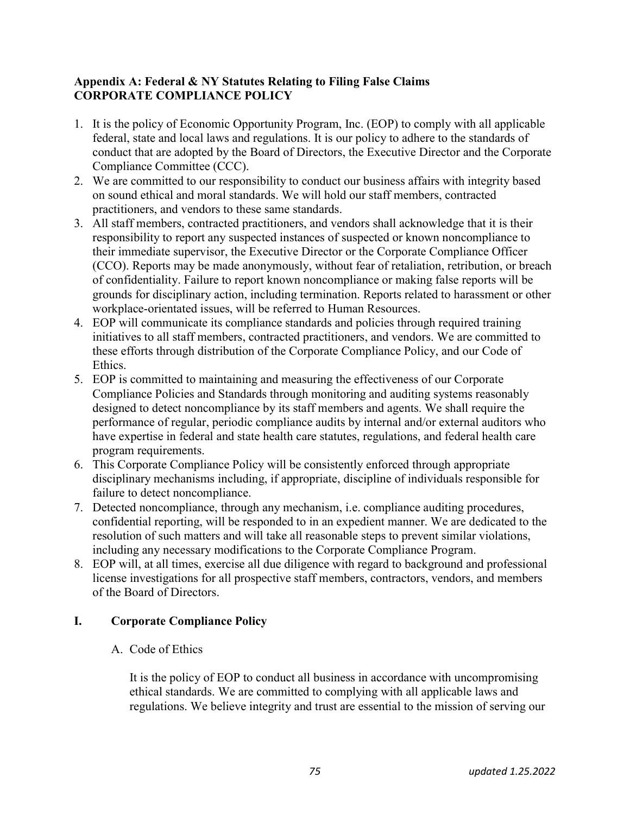## Appendix A: Federal & NY Statutes Relating to Filing False Claims CORPORATE COMPLIANCE POLICY

- 1. It is the policy of Economic Opportunity Program, Inc. (EOP) to comply with all applicable federal, state and local laws and regulations. It is our policy to adhere to the standards of conduct that are adopted by the Board of Directors, the Executive Director and the Corporate Compliance Committee (CCC).
- 2. We are committed to our responsibility to conduct our business affairs with integrity based on sound ethical and moral standards. We will hold our staff members, contracted practitioners, and vendors to these same standards.
- 3. All staff members, contracted practitioners, and vendors shall acknowledge that it is their responsibility to report any suspected instances of suspected or known noncompliance to their immediate supervisor, the Executive Director or the Corporate Compliance Officer (CCO). Reports may be made anonymously, without fear of retaliation, retribution, or breach of confidentiality. Failure to report known noncompliance or making false reports will be grounds for disciplinary action, including termination. Reports related to harassment or other workplace-orientated issues, will be referred to Human Resources.
- 4. EOP will communicate its compliance standards and policies through required training initiatives to all staff members, contracted practitioners, and vendors. We are committed to these efforts through distribution of the Corporate Compliance Policy, and our Code of Ethics.
- 5. EOP is committed to maintaining and measuring the effectiveness of our Corporate Compliance Policies and Standards through monitoring and auditing systems reasonably designed to detect noncompliance by its staff members and agents. We shall require the performance of regular, periodic compliance audits by internal and/or external auditors who have expertise in federal and state health care statutes, regulations, and federal health care program requirements.
- 6. This Corporate Compliance Policy will be consistently enforced through appropriate disciplinary mechanisms including, if appropriate, discipline of individuals responsible for failure to detect noncompliance.
- 7. Detected noncompliance, through any mechanism, i.e. compliance auditing procedures, confidential reporting, will be responded to in an expedient manner. We are dedicated to the resolution of such matters and will take all reasonable steps to prevent similar violations, including any necessary modifications to the Corporate Compliance Program.
- 8. EOP will, at all times, exercise all due diligence with regard to background and professional license investigations for all prospective staff members, contractors, vendors, and members of the Board of Directors.

## I. Corporate Compliance Policy

A. Code of Ethics

It is the policy of EOP to conduct all business in accordance with uncompromising ethical standards. We are committed to complying with all applicable laws and regulations. We believe integrity and trust are essential to the mission of serving our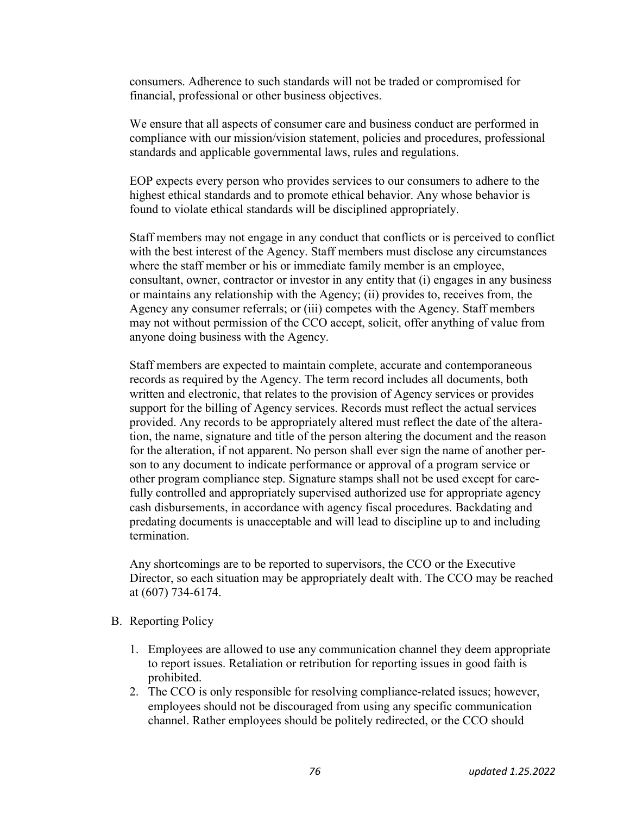consumers. Adherence to such standards will not be traded or compromised for financial, professional or other business objectives.

We ensure that all aspects of consumer care and business conduct are performed in compliance with our mission/vision statement, policies and procedures, professional standards and applicable governmental laws, rules and regulations.

EOP expects every person who provides services to our consumers to adhere to the highest ethical standards and to promote ethical behavior. Any whose behavior is found to violate ethical standards will be disciplined appropriately.

Staff members may not engage in any conduct that conflicts or is perceived to conflict with the best interest of the Agency. Staff members must disclose any circumstances where the staff member or his or immediate family member is an employee, consultant, owner, contractor or investor in any entity that (i) engages in any business or maintains any relationship with the Agency; (ii) provides to, receives from, the Agency any consumer referrals; or (iii) competes with the Agency. Staff members may not without permission of the CCO accept, solicit, offer anything of value from anyone doing business with the Agency.

Staff members are expected to maintain complete, accurate and contemporaneous records as required by the Agency. The term record includes all documents, both written and electronic, that relates to the provision of Agency services or provides support for the billing of Agency services. Records must reflect the actual services provided. Any records to be appropriately altered must reflect the date of the alteration, the name, signature and title of the person altering the document and the reason for the alteration, if not apparent. No person shall ever sign the name of another person to any document to indicate performance or approval of a program service or other program compliance step. Signature stamps shall not be used except for carefully controlled and appropriately supervised authorized use for appropriate agency cash disbursements, in accordance with agency fiscal procedures. Backdating and predating documents is unacceptable and will lead to discipline up to and including termination.

Any shortcomings are to be reported to supervisors, the CCO or the Executive Director, so each situation may be appropriately dealt with. The CCO may be reached at (607) 734-6174.

- B. Reporting Policy
	- 1. Employees are allowed to use any communication channel they deem appropriate to report issues. Retaliation or retribution for reporting issues in good faith is prohibited.
	- 2. The CCO is only responsible for resolving compliance-related issues; however, employees should not be discouraged from using any specific communication channel. Rather employees should be politely redirected, or the CCO should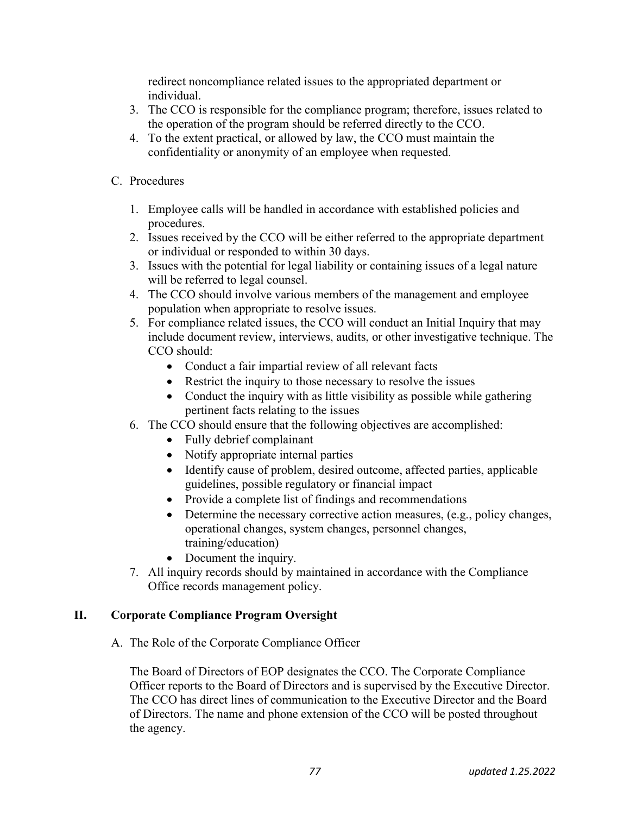redirect noncompliance related issues to the appropriated department or individual.

- 3. The CCO is responsible for the compliance program; therefore, issues related to the operation of the program should be referred directly to the CCO.
- 4. To the extent practical, or allowed by law, the CCO must maintain the confidentiality or anonymity of an employee when requested.
- C. Procedures
	- 1. Employee calls will be handled in accordance with established policies and procedures.
	- 2. Issues received by the CCO will be either referred to the appropriate department or individual or responded to within 30 days.
	- 3. Issues with the potential for legal liability or containing issues of a legal nature will be referred to legal counsel.
	- 4. The CCO should involve various members of the management and employee population when appropriate to resolve issues.
	- 5. For compliance related issues, the CCO will conduct an Initial Inquiry that may include document review, interviews, audits, or other investigative technique. The CCO should:
		- Conduct a fair impartial review of all relevant facts
		- Restrict the inquiry to those necessary to resolve the issues
		- Conduct the inquiry with as little visibility as possible while gathering pertinent facts relating to the issues
	- 6. The CCO should ensure that the following objectives are accomplished:
		- Fully debrief complainant
		- Notify appropriate internal parties
		- Identify cause of problem, desired outcome, affected parties, applicable guidelines, possible regulatory or financial impact
		- Provide a complete list of findings and recommendations
		- Determine the necessary corrective action measures, (e.g., policy changes, operational changes, system changes, personnel changes, training/education)
		- Document the inquiry.
	- 7. All inquiry records should by maintained in accordance with the Compliance Office records management policy.

## II. Corporate Compliance Program Oversight

A. The Role of the Corporate Compliance Officer

The Board of Directors of EOP designates the CCO. The Corporate Compliance Officer reports to the Board of Directors and is supervised by the Executive Director. The CCO has direct lines of communication to the Executive Director and the Board of Directors. The name and phone extension of the CCO will be posted throughout the agency.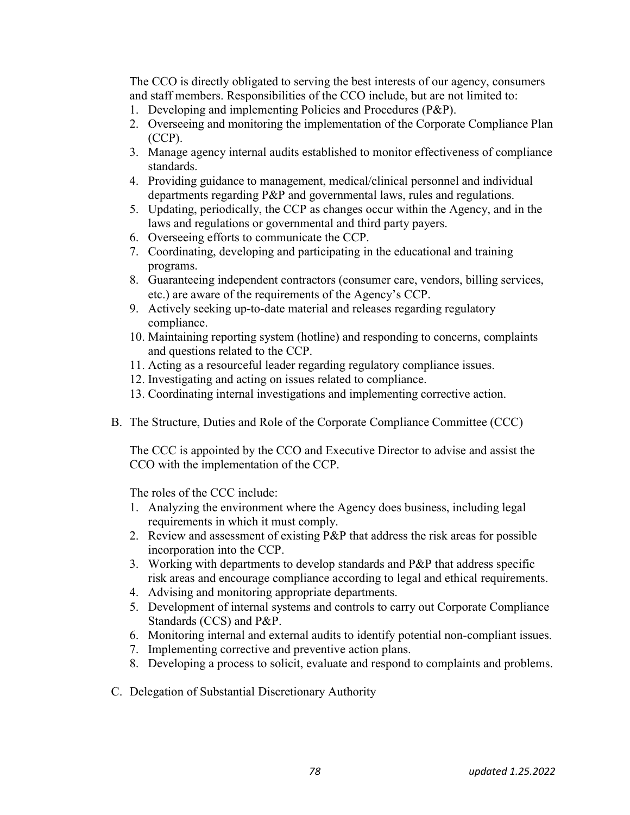The CCO is directly obligated to serving the best interests of our agency, consumers and staff members. Responsibilities of the CCO include, but are not limited to:

- 1. Developing and implementing Policies and Procedures (P&P).
- 2. Overseeing and monitoring the implementation of the Corporate Compliance Plan (CCP).
- 3. Manage agency internal audits established to monitor effectiveness of compliance standards.
- 4. Providing guidance to management, medical/clinical personnel and individual departments regarding P&P and governmental laws, rules and regulations.
- 5. Updating, periodically, the CCP as changes occur within the Agency, and in the laws and regulations or governmental and third party payers.
- 6. Overseeing efforts to communicate the CCP.
- 7. Coordinating, developing and participating in the educational and training programs.
- 8. Guaranteeing independent contractors (consumer care, vendors, billing services, etc.) are aware of the requirements of the Agency's CCP.
- 9. Actively seeking up-to-date material and releases regarding regulatory compliance.
- 10. Maintaining reporting system (hotline) and responding to concerns, complaints and questions related to the CCP.
- 11. Acting as a resourceful leader regarding regulatory compliance issues.
- 12. Investigating and acting on issues related to compliance.
- 13. Coordinating internal investigations and implementing corrective action.
- B. The Structure, Duties and Role of the Corporate Compliance Committee (CCC)

The CCC is appointed by the CCO and Executive Director to advise and assist the CCO with the implementation of the CCP.

The roles of the CCC include:

- 1. Analyzing the environment where the Agency does business, including legal requirements in which it must comply.
- 2. Review and assessment of existing P&P that address the risk areas for possible incorporation into the CCP.
- 3. Working with departments to develop standards and P&P that address specific risk areas and encourage compliance according to legal and ethical requirements.
- 4. Advising and monitoring appropriate departments.
- 5. Development of internal systems and controls to carry out Corporate Compliance Standards (CCS) and P&P.
- 6. Monitoring internal and external audits to identify potential non-compliant issues.
- 7. Implementing corrective and preventive action plans.
- 8. Developing a process to solicit, evaluate and respond to complaints and problems.
- C. Delegation of Substantial Discretionary Authority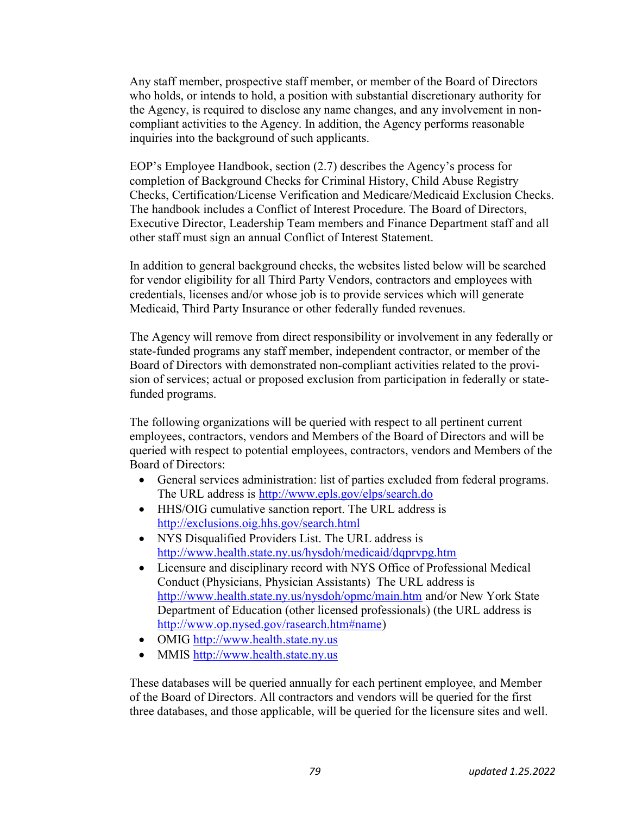Any staff member, prospective staff member, or member of the Board of Directors who holds, or intends to hold, a position with substantial discretionary authority for the Agency, is required to disclose any name changes, and any involvement in noncompliant activities to the Agency. In addition, the Agency performs reasonable inquiries into the background of such applicants.

EOP's Employee Handbook, section (2.7) describes the Agency's process for completion of Background Checks for Criminal History, Child Abuse Registry Checks, Certification/License Verification and Medicare/Medicaid Exclusion Checks. The handbook includes a Conflict of Interest Procedure. The Board of Directors, Executive Director, Leadership Team members and Finance Department staff and all other staff must sign an annual Conflict of Interest Statement.

In addition to general background checks, the websites listed below will be searched for vendor eligibility for all Third Party Vendors, contractors and employees with credentials, licenses and/or whose job is to provide services which will generate Medicaid, Third Party Insurance or other federally funded revenues.

The Agency will remove from direct responsibility or involvement in any federally or state-funded programs any staff member, independent contractor, or member of the Board of Directors with demonstrated non-compliant activities related to the provision of services; actual or proposed exclusion from participation in federally or statefunded programs.

The following organizations will be queried with respect to all pertinent current employees, contractors, vendors and Members of the Board of Directors and will be queried with respect to potential employees, contractors, vendors and Members of the Board of Directors:

- General services administration: list of parties excluded from federal programs. The URL address is http://www.epls.gov/elps/search.do
- HHS/OIG cumulative sanction report. The URL address is http://exclusions.oig.hhs.gov/search.html
- NYS Disqualified Providers List. The URL address is http://www.health.state.ny.us/hysdoh/medicaid/dqprvpg.htm
- Licensure and disciplinary record with NYS Office of Professional Medical Conduct (Physicians, Physician Assistants) The URL address is http://www.health.state.ny.us/nysdoh/opmc/main.htm and/or New York State Department of Education (other licensed professionals) (the URL address is http://www.op.nysed.gov/rasearch.htm#name)
- OMIG http://www.health.state.ny.us
- MMIS http://www.health.state.ny.us

These databases will be queried annually for each pertinent employee, and Member of the Board of Directors. All contractors and vendors will be queried for the first three databases, and those applicable, will be queried for the licensure sites and well.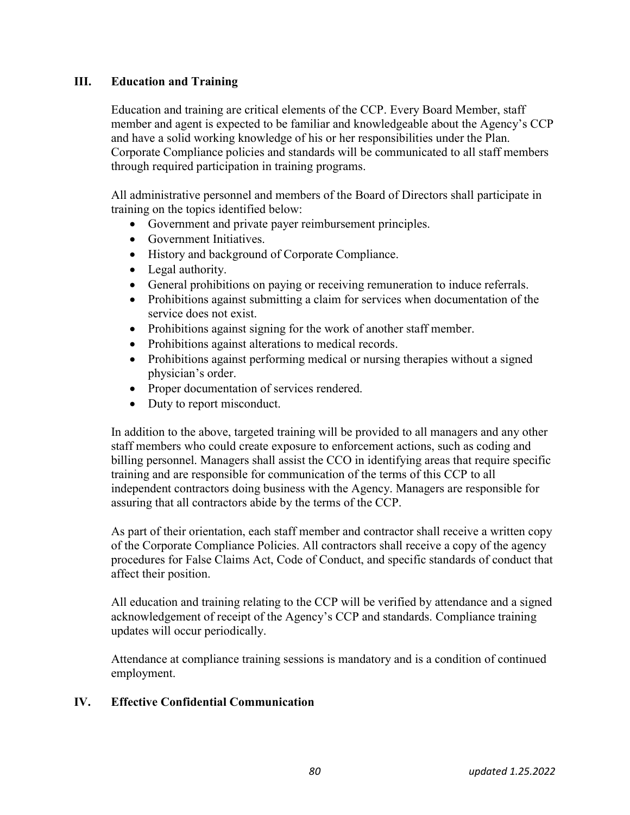## III. Education and Training

Education and training are critical elements of the CCP. Every Board Member, staff member and agent is expected to be familiar and knowledgeable about the Agency's CCP and have a solid working knowledge of his or her responsibilities under the Plan. Corporate Compliance policies and standards will be communicated to all staff members through required participation in training programs.

All administrative personnel and members of the Board of Directors shall participate in training on the topics identified below:

- Government and private payer reimbursement principles.
- Government Initiatives.
- History and background of Corporate Compliance.
- Legal authority.
- General prohibitions on paying or receiving remuneration to induce referrals.
- Prohibitions against submitting a claim for services when documentation of the service does not exist.
- Prohibitions against signing for the work of another staff member.
- Prohibitions against alterations to medical records.
- Prohibitions against performing medical or nursing therapies without a signed physician's order.
- Proper documentation of services rendered.
- Duty to report misconduct.

In addition to the above, targeted training will be provided to all managers and any other staff members who could create exposure to enforcement actions, such as coding and billing personnel. Managers shall assist the CCO in identifying areas that require specific training and are responsible for communication of the terms of this CCP to all independent contractors doing business with the Agency. Managers are responsible for assuring that all contractors abide by the terms of the CCP.

As part of their orientation, each staff member and contractor shall receive a written copy of the Corporate Compliance Policies. All contractors shall receive a copy of the agency procedures for False Claims Act, Code of Conduct, and specific standards of conduct that affect their position.

All education and training relating to the CCP will be verified by attendance and a signed acknowledgement of receipt of the Agency's CCP and standards. Compliance training updates will occur periodically.

Attendance at compliance training sessions is mandatory and is a condition of continued employment.

### IV. Effective Confidential Communication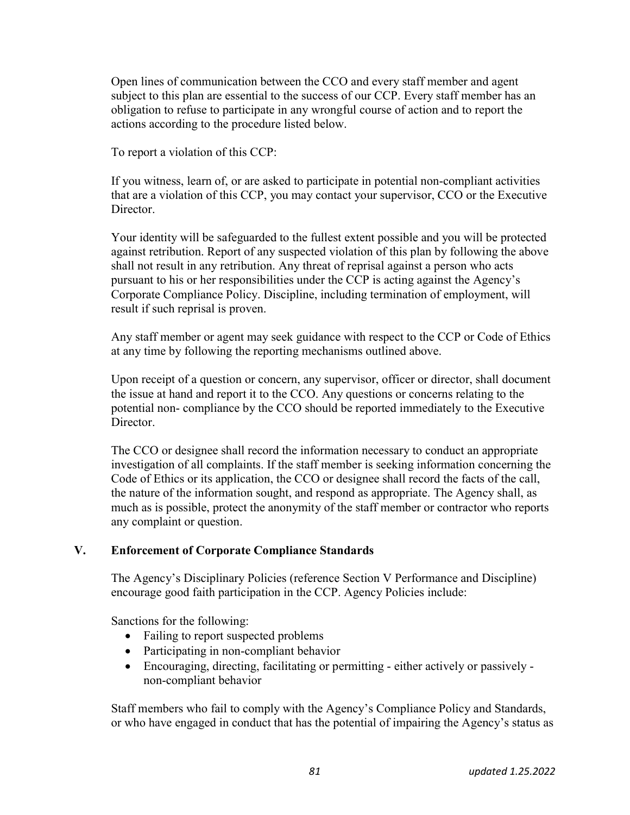Open lines of communication between the CCO and every staff member and agent subject to this plan are essential to the success of our CCP. Every staff member has an obligation to refuse to participate in any wrongful course of action and to report the actions according to the procedure listed below.

To report a violation of this CCP:

If you witness, learn of, or are asked to participate in potential non-compliant activities that are a violation of this CCP, you may contact your supervisor, CCO or the Executive Director.

Your identity will be safeguarded to the fullest extent possible and you will be protected against retribution. Report of any suspected violation of this plan by following the above shall not result in any retribution. Any threat of reprisal against a person who acts pursuant to his or her responsibilities under the CCP is acting against the Agency's Corporate Compliance Policy. Discipline, including termination of employment, will result if such reprisal is proven.

Any staff member or agent may seek guidance with respect to the CCP or Code of Ethics at any time by following the reporting mechanisms outlined above.

Upon receipt of a question or concern, any supervisor, officer or director, shall document the issue at hand and report it to the CCO. Any questions or concerns relating to the potential non- compliance by the CCO should be reported immediately to the Executive Director.

The CCO or designee shall record the information necessary to conduct an appropriate investigation of all complaints. If the staff member is seeking information concerning the Code of Ethics or its application, the CCO or designee shall record the facts of the call, the nature of the information sought, and respond as appropriate. The Agency shall, as much as is possible, protect the anonymity of the staff member or contractor who reports any complaint or question.

### V. Enforcement of Corporate Compliance Standards

The Agency's Disciplinary Policies (reference Section V Performance and Discipline) encourage good faith participation in the CCP. Agency Policies include:

Sanctions for the following:

- Failing to report suspected problems
- Participating in non-compliant behavior
- Encouraging, directing, facilitating or permitting either actively or passively non-compliant behavior

Staff members who fail to comply with the Agency's Compliance Policy and Standards, or who have engaged in conduct that has the potential of impairing the Agency's status as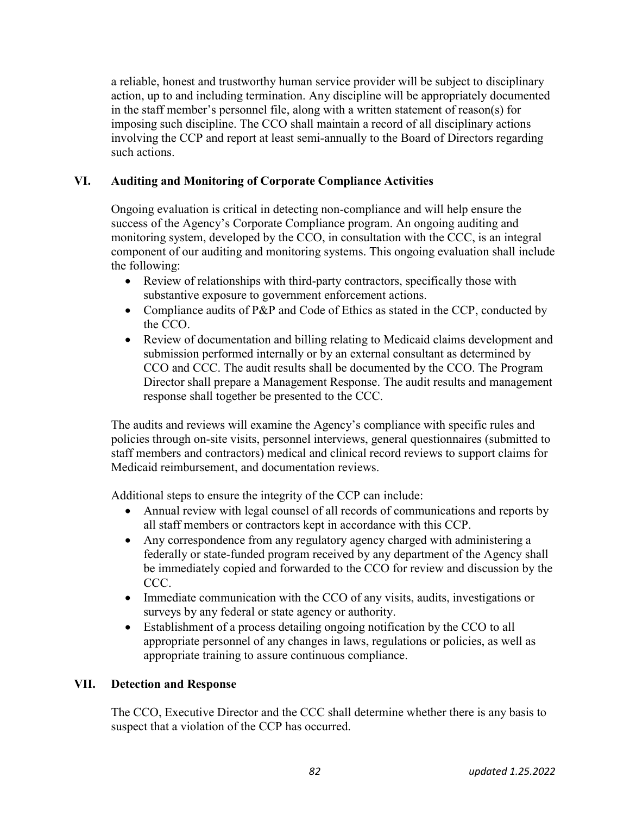a reliable, honest and trustworthy human service provider will be subject to disciplinary action, up to and including termination. Any discipline will be appropriately documented in the staff member's personnel file, along with a written statement of reason(s) for imposing such discipline. The CCO shall maintain a record of all disciplinary actions involving the CCP and report at least semi-annually to the Board of Directors regarding such actions.

## VI. Auditing and Monitoring of Corporate Compliance Activities

Ongoing evaluation is critical in detecting non-compliance and will help ensure the success of the Agency's Corporate Compliance program. An ongoing auditing and monitoring system, developed by the CCO, in consultation with the CCC, is an integral component of our auditing and monitoring systems. This ongoing evaluation shall include the following:

- Review of relationships with third-party contractors, specifically those with substantive exposure to government enforcement actions.
- Compliance audits of P&P and Code of Ethics as stated in the CCP, conducted by the CCO.
- Review of documentation and billing relating to Medicaid claims development and submission performed internally or by an external consultant as determined by CCO and CCC. The audit results shall be documented by the CCO. The Program Director shall prepare a Management Response. The audit results and management response shall together be presented to the CCC.

The audits and reviews will examine the Agency's compliance with specific rules and policies through on-site visits, personnel interviews, general questionnaires (submitted to staff members and contractors) medical and clinical record reviews to support claims for Medicaid reimbursement, and documentation reviews.

Additional steps to ensure the integrity of the CCP can include:

- Annual review with legal counsel of all records of communications and reports by all staff members or contractors kept in accordance with this CCP.
- Any correspondence from any regulatory agency charged with administering a federally or state-funded program received by any department of the Agency shall be immediately copied and forwarded to the CCO for review and discussion by the CCC.
- Immediate communication with the CCO of any visits, audits, investigations or surveys by any federal or state agency or authority.
- Establishment of a process detailing ongoing notification by the CCO to all appropriate personnel of any changes in laws, regulations or policies, as well as appropriate training to assure continuous compliance.

## VII. Detection and Response

The CCO, Executive Director and the CCC shall determine whether there is any basis to suspect that a violation of the CCP has occurred.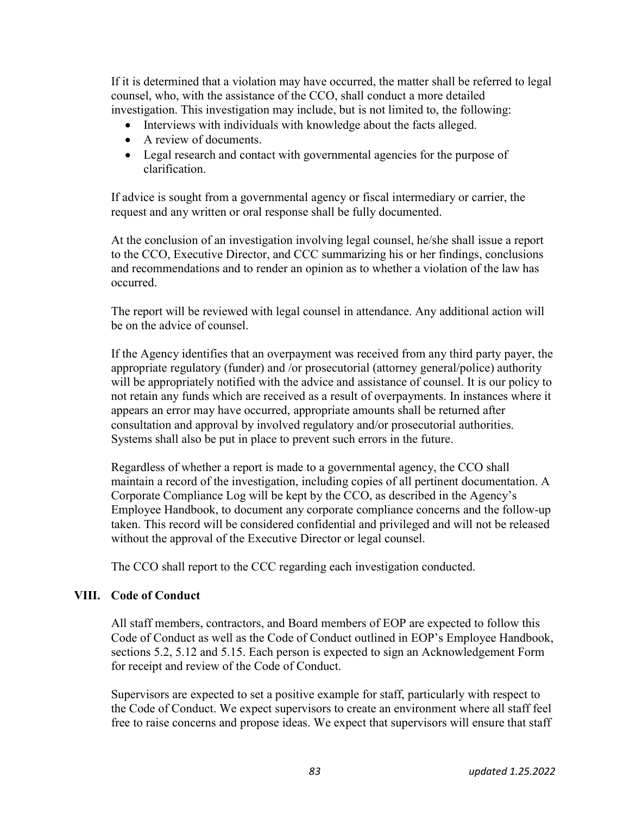If it is determined that a violation may have occurred, the matter shall be referred to legal counsel, who, with the assistance of the CCO, shall conduct a more detailed investigation. This investigation may include, but is not limited to, the following:

- Interviews with individuals with knowledge about the facts alleged.
- A review of documents.
- Legal research and contact with governmental agencies for the purpose of clarification.

If advice is sought from a governmental agency or fiscal intermediary or carrier, the request and any written or oral response shall be fully documented.

At the conclusion of an investigation involving legal counsel, he/she shall issue a report to the CCO, Executive Director, and CCC summarizing his or her findings, conclusions and recommendations and to render an opinion as to whether a violation of the law has occurred.

The report will be reviewed with legal counsel in attendance. Any additional action will be on the advice of counsel.

If the Agency identifies that an overpayment was received from any third party payer, the appropriate regulatory (funder) and /or prosecutorial (attorney general/police) authority will be appropriately notified with the advice and assistance of counsel. It is our policy to not retain any funds which are received as a result of overpayments. In instances where it appears an error may have occurred, appropriate amounts shall be returned after consultation and approval by involved regulatory and/or prosecutorial authorities. Systems shall also be put in place to prevent such errors in the future.

Regardless of whether a report is made to a governmental agency, the CCO shall maintain a record of the investigation, including copies of all pertinent documentation. A Corporate Compliance Log will be kept by the CCO, as described in the Agency's Employee Handbook, to document any corporate compliance concerns and the follow-up taken. This record will be considered confidential and privileged and will not be released without the approval of the Executive Director or legal counsel.

The CCO shall report to the CCC regarding each investigation conducted.

### VIII. Code of Conduct

All staff members, contractors, and Board members of EOP are expected to follow this Code of Conduct as well as the Code of Conduct outlined in EOP's Employee Handbook, sections 5.2, 5.12 and 5.15. Each person is expected to sign an Acknowledgement Form for receipt and review of the Code of Conduct.

Supervisors are expected to set a positive example for staff, particularly with respect to the Code of Conduct. We expect supervisors to create an environment where all staff feel free to raise concerns and propose ideas. We expect that supervisors will ensure that staff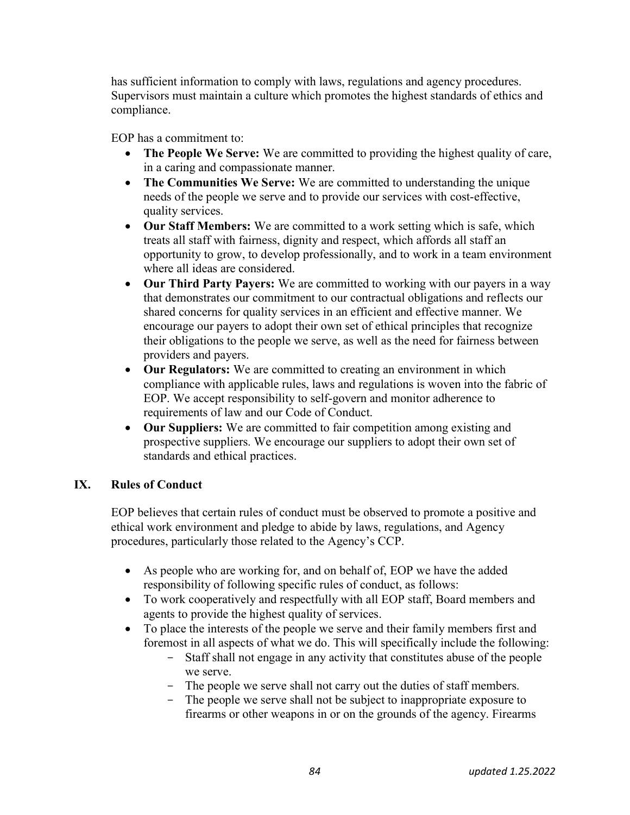has sufficient information to comply with laws, regulations and agency procedures. Supervisors must maintain a culture which promotes the highest standards of ethics and compliance.

EOP has a commitment to:

- The People We Serve: We are committed to providing the highest quality of care, in a caring and compassionate manner.
- The Communities We Serve: We are committed to understanding the unique needs of the people we serve and to provide our services with cost-effective, quality services.
- Our Staff Members: We are committed to a work setting which is safe, which treats all staff with fairness, dignity and respect, which affords all staff an opportunity to grow, to develop professionally, and to work in a team environment where all ideas are considered.
- Our Third Party Payers: We are committed to working with our payers in a way that demonstrates our commitment to our contractual obligations and reflects our shared concerns for quality services in an efficient and effective manner. We encourage our payers to adopt their own set of ethical principles that recognize their obligations to the people we serve, as well as the need for fairness between providers and payers.
- Our Regulators: We are committed to creating an environment in which compliance with applicable rules, laws and regulations is woven into the fabric of EOP. We accept responsibility to self-govern and monitor adherence to requirements of law and our Code of Conduct.
- Our Suppliers: We are committed to fair competition among existing and prospective suppliers. We encourage our suppliers to adopt their own set of standards and ethical practices.

## IX. Rules of Conduct

EOP believes that certain rules of conduct must be observed to promote a positive and ethical work environment and pledge to abide by laws, regulations, and Agency procedures, particularly those related to the Agency's CCP.

- As people who are working for, and on behalf of, EOP we have the added responsibility of following specific rules of conduct, as follows:
- To work cooperatively and respectfully with all EOP staff, Board members and agents to provide the highest quality of services.
- To place the interests of the people we serve and their family members first and foremost in all aspects of what we do. This will specifically include the following:
	- Staff shall not engage in any activity that constitutes abuse of the people we serve.
	- The people we serve shall not carry out the duties of staff members.
	- The people we serve shall not be subject to inappropriate exposure to firearms or other weapons in or on the grounds of the agency. Firearms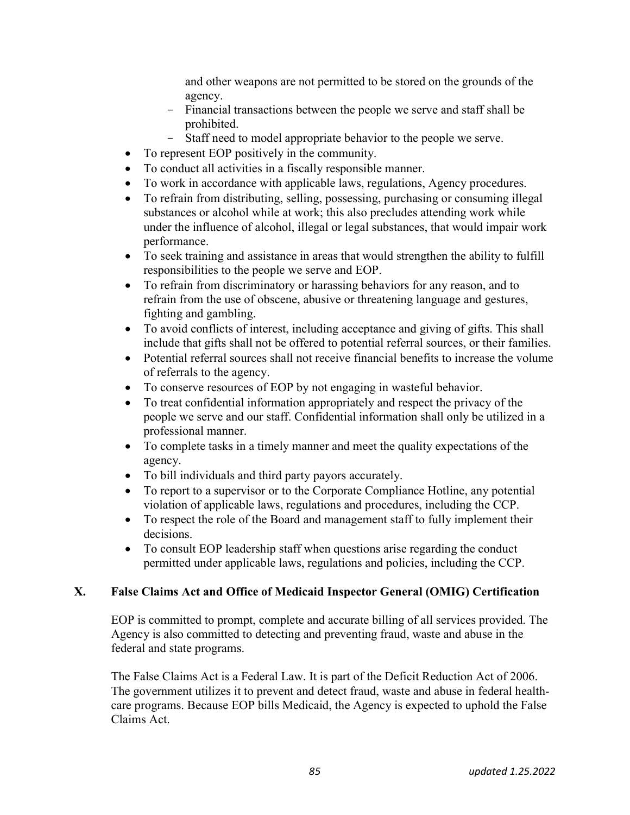and other weapons are not permitted to be stored on the grounds of the agency.

- Financial transactions between the people we serve and staff shall be prohibited.
- Staff need to model appropriate behavior to the people we serve.
- To represent EOP positively in the community.
- To conduct all activities in a fiscally responsible manner.
- To work in accordance with applicable laws, regulations, Agency procedures.
- To refrain from distributing, selling, possessing, purchasing or consuming illegal substances or alcohol while at work; this also precludes attending work while under the influence of alcohol, illegal or legal substances, that would impair work performance.
- To seek training and assistance in areas that would strengthen the ability to fulfill responsibilities to the people we serve and EOP.
- To refrain from discriminatory or harassing behaviors for any reason, and to refrain from the use of obscene, abusive or threatening language and gestures, fighting and gambling.
- To avoid conflicts of interest, including acceptance and giving of gifts. This shall include that gifts shall not be offered to potential referral sources, or their families.
- Potential referral sources shall not receive financial benefits to increase the volume of referrals to the agency.
- To conserve resources of EOP by not engaging in wasteful behavior.
- To treat confidential information appropriately and respect the privacy of the people we serve and our staff. Confidential information shall only be utilized in a professional manner.
- To complete tasks in a timely manner and meet the quality expectations of the agency.
- To bill individuals and third party payors accurately.
- To report to a supervisor or to the Corporate Compliance Hotline, any potential violation of applicable laws, regulations and procedures, including the CCP.
- To respect the role of the Board and management staff to fully implement their decisions.
- To consult EOP leadership staff when questions arise regarding the conduct permitted under applicable laws, regulations and policies, including the CCP.

## X. False Claims Act and Office of Medicaid Inspector General (OMIG) Certification

EOP is committed to prompt, complete and accurate billing of all services provided. The Agency is also committed to detecting and preventing fraud, waste and abuse in the federal and state programs.

The False Claims Act is a Federal Law. It is part of the Deficit Reduction Act of 2006. The government utilizes it to prevent and detect fraud, waste and abuse in federal healthcare programs. Because EOP bills Medicaid, the Agency is expected to uphold the False Claims Act.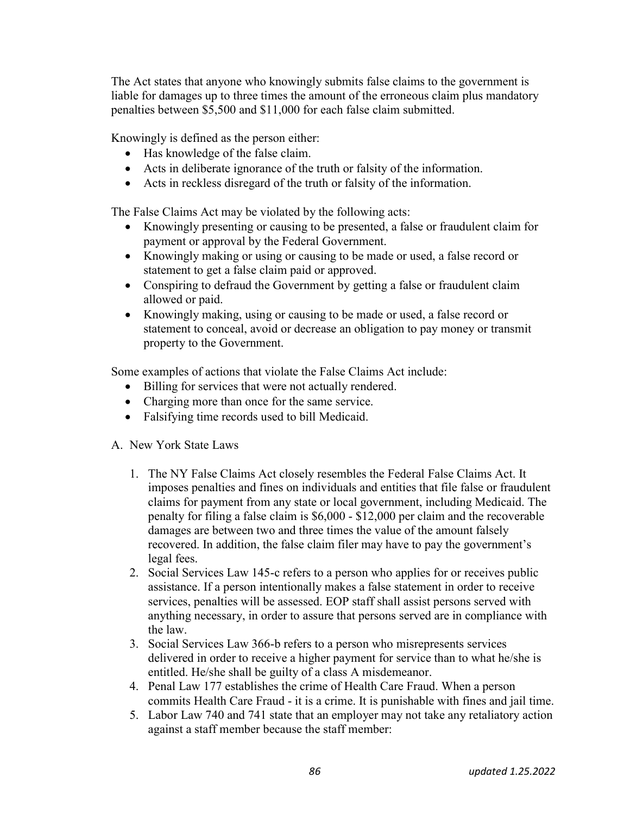The Act states that anyone who knowingly submits false claims to the government is liable for damages up to three times the amount of the erroneous claim plus mandatory penalties between \$5,500 and \$11,000 for each false claim submitted.

Knowingly is defined as the person either:

- Has knowledge of the false claim.
- Acts in deliberate ignorance of the truth or falsity of the information.
- Acts in reckless disregard of the truth or falsity of the information.

The False Claims Act may be violated by the following acts:

- Knowingly presenting or causing to be presented, a false or fraudulent claim for payment or approval by the Federal Government.
- Knowingly making or using or causing to be made or used, a false record or statement to get a false claim paid or approved.
- Conspiring to defraud the Government by getting a false or fraudulent claim allowed or paid.
- Knowingly making, using or causing to be made or used, a false record or statement to conceal, avoid or decrease an obligation to pay money or transmit property to the Government.

Some examples of actions that violate the False Claims Act include:

- Billing for services that were not actually rendered.
- Charging more than once for the same service.
- Falsifying time records used to bill Medicaid.
- A. New York State Laws
	- 1. The NY False Claims Act closely resembles the Federal False Claims Act. It imposes penalties and fines on individuals and entities that file false or fraudulent claims for payment from any state or local government, including Medicaid. The penalty for filing a false claim is \$6,000 - \$12,000 per claim and the recoverable damages are between two and three times the value of the amount falsely recovered. In addition, the false claim filer may have to pay the government's legal fees.
	- 2. Social Services Law 145-c refers to a person who applies for or receives public assistance. If a person intentionally makes a false statement in order to receive services, penalties will be assessed. EOP staff shall assist persons served with anything necessary, in order to assure that persons served are in compliance with the law.
	- 3. Social Services Law 366-b refers to a person who misrepresents services delivered in order to receive a higher payment for service than to what he/she is entitled. He/she shall be guilty of a class A misdemeanor.
	- 4. Penal Law 177 establishes the crime of Health Care Fraud. When a person commits Health Care Fraud - it is a crime. It is punishable with fines and jail time.
	- 5. Labor Law 740 and 741 state that an employer may not take any retaliatory action against a staff member because the staff member: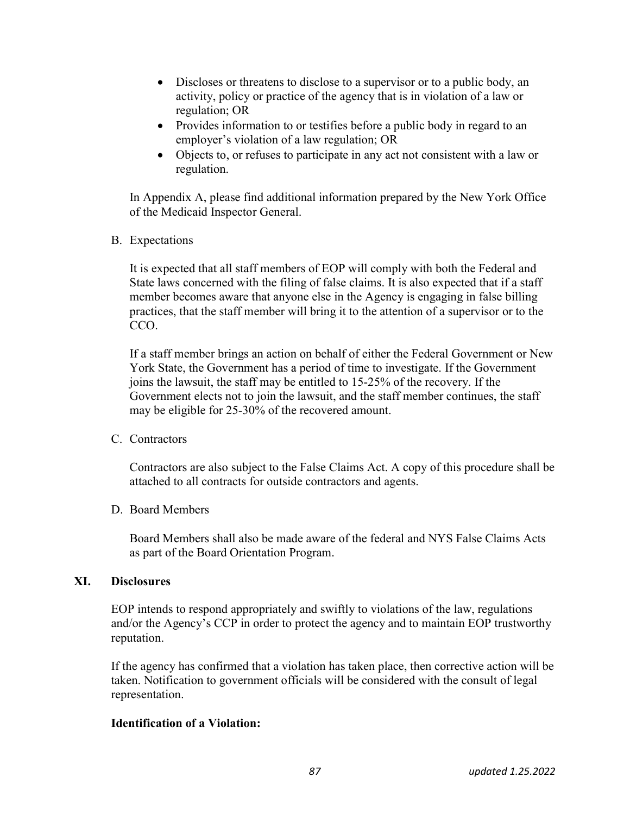- Discloses or threatens to disclose to a supervisor or to a public body, an activity, policy or practice of the agency that is in violation of a law or regulation; OR
- Provides information to or testifies before a public body in regard to an employer's violation of a law regulation; OR
- Objects to, or refuses to participate in any act not consistent with a law or regulation.

In Appendix A, please find additional information prepared by the New York Office of the Medicaid Inspector General.

B. Expectations

It is expected that all staff members of EOP will comply with both the Federal and State laws concerned with the filing of false claims. It is also expected that if a staff member becomes aware that anyone else in the Agency is engaging in false billing practices, that the staff member will bring it to the attention of a supervisor or to the CCO.

If a staff member brings an action on behalf of either the Federal Government or New York State, the Government has a period of time to investigate. If the Government joins the lawsuit, the staff may be entitled to 15-25% of the recovery. If the Government elects not to join the lawsuit, and the staff member continues, the staff may be eligible for 25-30% of the recovered amount.

## C. Contractors

Contractors are also subject to the False Claims Act. A copy of this procedure shall be attached to all contracts for outside contractors and agents.

### D. Board Members

Board Members shall also be made aware of the federal and NYS False Claims Acts as part of the Board Orientation Program.

### XI. Disclosures

EOP intends to respond appropriately and swiftly to violations of the law, regulations and/or the Agency's CCP in order to protect the agency and to maintain EOP trustworthy reputation.

If the agency has confirmed that a violation has taken place, then corrective action will be taken. Notification to government officials will be considered with the consult of legal representation.

## Identification of a Violation: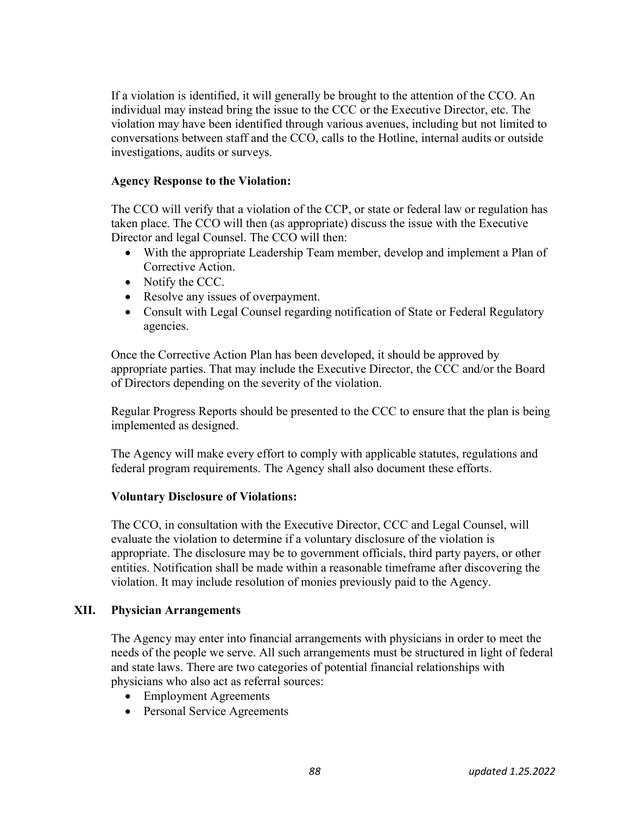If a violation is identified, it will generally be brought to the attention of the CCO. An individual may instead bring the issue to the CCC or the Executive Director, etc. The violation may have been identified through various avenues, including but not limited to conversations between staff and the CCO, calls to the Hotline, internal audits or outside investigations, audits or surveys.

### Agency Response to the Violation:

The CCO will verify that a violation of the CCP, or state or federal law or regulation has taken place. The CCO will then (as appropriate) discuss the issue with the Executive Director and legal Counsel. The CCO will then:

- With the appropriate Leadership Team member, develop and implement a Plan of Corrective Action.
- Notify the CCC.
- Resolve any issues of overpayment.
- Consult with Legal Counsel regarding notification of State or Federal Regulatory agencies.

Once the Corrective Action Plan has been developed, it should be approved by appropriate parties. That may include the Executive Director, the CCC and/or the Board of Directors depending on the severity of the violation.

Regular Progress Reports should be presented to the CCC to ensure that the plan is being implemented as designed.

The Agency will make every effort to comply with applicable statutes, regulations and federal program requirements. The Agency shall also document these efforts.

### Voluntary Disclosure of Violations:

The CCO, in consultation with the Executive Director, CCC and Legal Counsel, will evaluate the violation to determine if a voluntary disclosure of the violation is appropriate. The disclosure may be to government officials, third party payers, or other entities. Notification shall be made within a reasonable timeframe after discovering the violation. It may include resolution of monies previously paid to the Agency.

### XII. Physician Arrangements

The Agency may enter into financial arrangements with physicians in order to meet the needs of the people we serve. All such arrangements must be structured in light of federal and state laws. There are two categories of potential financial relationships with physicians who also act as referral sources:

- Employment Agreements
- Personal Service Agreements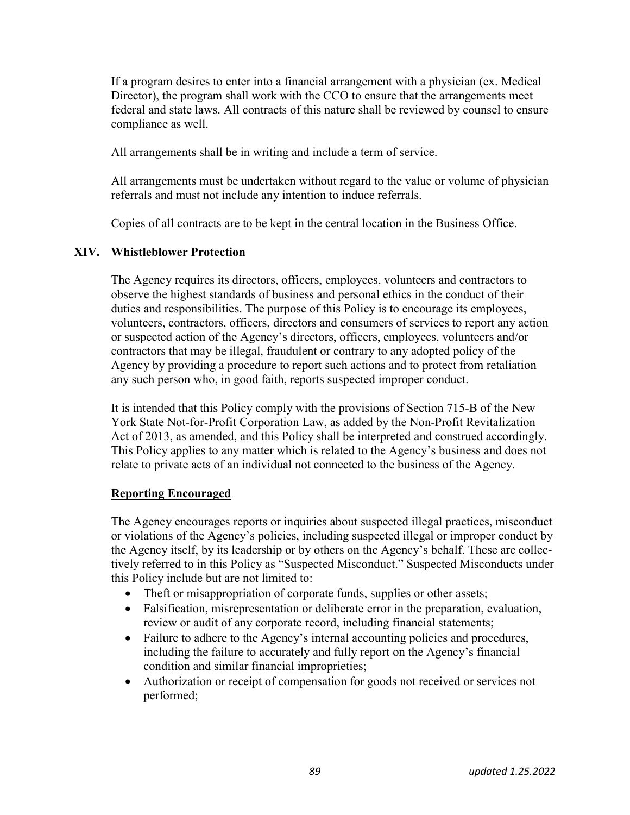If a program desires to enter into a financial arrangement with a physician (ex. Medical Director), the program shall work with the CCO to ensure that the arrangements meet federal and state laws. All contracts of this nature shall be reviewed by counsel to ensure compliance as well.

All arrangements shall be in writing and include a term of service.

All arrangements must be undertaken without regard to the value or volume of physician referrals and must not include any intention to induce referrals.

Copies of all contracts are to be kept in the central location in the Business Office.

#### XIV. Whistleblower Protection

The Agency requires its directors, officers, employees, volunteers and contractors to observe the highest standards of business and personal ethics in the conduct of their duties and responsibilities. The purpose of this Policy is to encourage its employees, volunteers, contractors, officers, directors and consumers of services to report any action or suspected action of the Agency's directors, officers, employees, volunteers and/or contractors that may be illegal, fraudulent or contrary to any adopted policy of the Agency by providing a procedure to report such actions and to protect from retaliation any such person who, in good faith, reports suspected improper conduct.

It is intended that this Policy comply with the provisions of Section 715-B of the New York State Not-for-Profit Corporation Law, as added by the Non-Profit Revitalization Act of 2013, as amended, and this Policy shall be interpreted and construed accordingly. This Policy applies to any matter which is related to the Agency's business and does not relate to private acts of an individual not connected to the business of the Agency.

#### Reporting Encouraged

The Agency encourages reports or inquiries about suspected illegal practices, misconduct or violations of the Agency's policies, including suspected illegal or improper conduct by the Agency itself, by its leadership or by others on the Agency's behalf. These are collectively referred to in this Policy as "Suspected Misconduct." Suspected Misconducts under this Policy include but are not limited to:

- Theft or misappropriation of corporate funds, supplies or other assets;
- Falsification, misrepresentation or deliberate error in the preparation, evaluation, review or audit of any corporate record, including financial statements;
- Failure to adhere to the Agency's internal accounting policies and procedures, including the failure to accurately and fully report on the Agency's financial condition and similar financial improprieties;
- Authorization or receipt of compensation for goods not received or services not performed;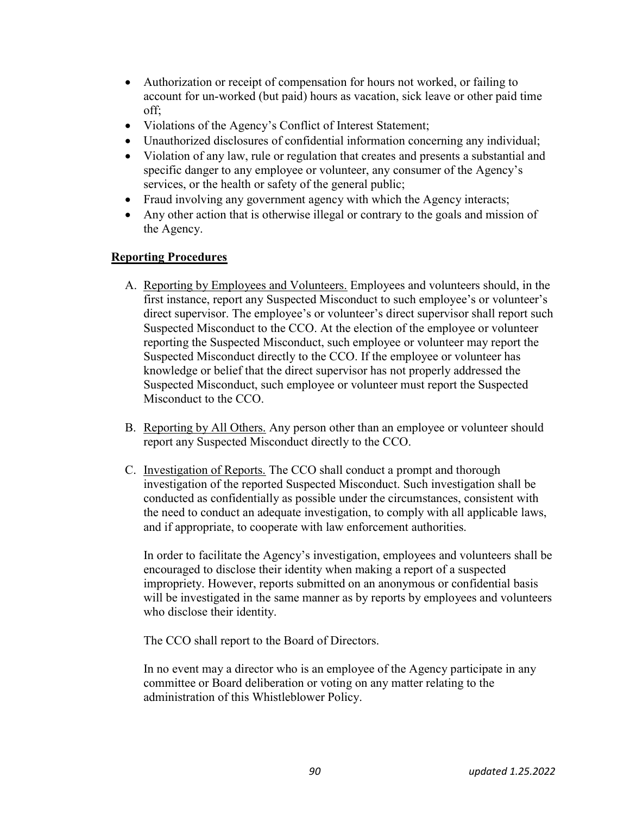- Authorization or receipt of compensation for hours not worked, or failing to account for un-worked (but paid) hours as vacation, sick leave or other paid time off;
- Violations of the Agency's Conflict of Interest Statement;
- Unauthorized disclosures of confidential information concerning any individual;
- Violation of any law, rule or regulation that creates and presents a substantial and specific danger to any employee or volunteer, any consumer of the Agency's services, or the health or safety of the general public;
- Fraud involving any government agency with which the Agency interacts;
- Any other action that is otherwise illegal or contrary to the goals and mission of the Agency.

### Reporting Procedures

- A. Reporting by Employees and Volunteers. Employees and volunteers should, in the first instance, report any Suspected Misconduct to such employee's or volunteer's direct supervisor. The employee's or volunteer's direct supervisor shall report such Suspected Misconduct to the CCO. At the election of the employee or volunteer reporting the Suspected Misconduct, such employee or volunteer may report the Suspected Misconduct directly to the CCO. If the employee or volunteer has knowledge or belief that the direct supervisor has not properly addressed the Suspected Misconduct, such employee or volunteer must report the Suspected Misconduct to the CCO.
- B. Reporting by All Others. Any person other than an employee or volunteer should report any Suspected Misconduct directly to the CCO.
- C. Investigation of Reports. The CCO shall conduct a prompt and thorough investigation of the reported Suspected Misconduct. Such investigation shall be conducted as confidentially as possible under the circumstances, consistent with the need to conduct an adequate investigation, to comply with all applicable laws, and if appropriate, to cooperate with law enforcement authorities.

In order to facilitate the Agency's investigation, employees and volunteers shall be encouraged to disclose their identity when making a report of a suspected impropriety. However, reports submitted on an anonymous or confidential basis will be investigated in the same manner as by reports by employees and volunteers who disclose their identity.

The CCO shall report to the Board of Directors.

In no event may a director who is an employee of the Agency participate in any committee or Board deliberation or voting on any matter relating to the administration of this Whistleblower Policy.